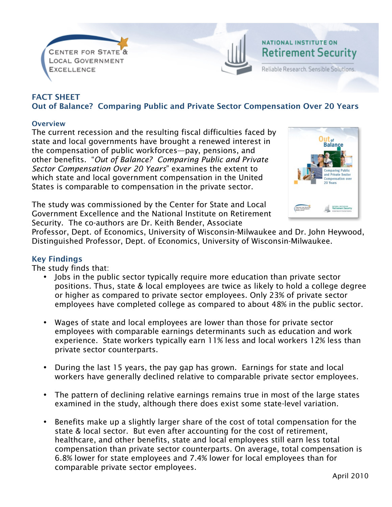



# FACT SHEET Out of Balance? Comparing Public and Private Sector Compensation Over 20 Years

#### **Overview**

The current recession and the resulting fiscal difficulties faced by state and local governments have brought a renewed interest in the compensation of public workforces—pay, pensions, and other benefits. "*Out of Balance? Comparing Public and Private Sector Compensation Over 20 Years*" examines the extent to which state and local government compensation in the United States is comparable to compensation in the private sector.





Professor, Dept. of Economics, University of Wisconsin-Milwaukee and Dr. John Heywood, Distinguished Professor, Dept. of Economics, University of Wisconsin-Milwaukee.

### Key Findings

The study finds that:

- Jobs in the public sector typically require more education than private sector positions. Thus, state & local employees are twice as likely to hold a college degree or higher as compared to private sector employees. Only 23% of private sector employees have completed college as compared to about 48% in the public sector.
- Wages of state and local employees are lower than those for private sector employees with comparable earnings determinants such as education and work experience. State workers typically earn 11% less and local workers 12% less than private sector counterparts.
- During the last 15 years, the pay gap has grown. Earnings for state and local workers have generally declined relative to comparable private sector employees.
- The pattern of declining relative earnings remains true in most of the large states examined in the study, although there does exist some state-level variation.
- Benefits make up a slightly larger share of the cost of total compensation for the state & local sector. But even after accounting for the cost of retirement, healthcare, and other benefits, state and local employees still earn less total compensation than private sector counterparts. On average, total compensation is 6.8% lower for state employees and 7.4% lower for local employees than for comparable private sector employees.